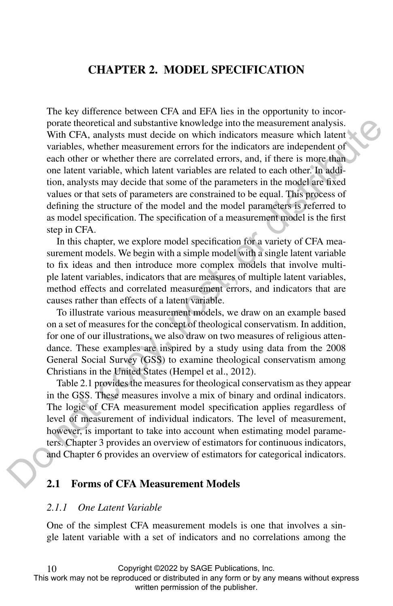# CHAPTER 2. MODEL SPECIFICATION

The key difference between CFA and EFA lies in the opportunity to incorporate theoretical and substantive knowledge into the measurement analysis. With CFA, analysts must decide on which indicators measure which latent variables, whether measurement errors for the indicators are independent of each other or whether there are correlated errors, and, if there is more than one latent variable, which latent variables are related to each other. In addition, analysts may decide that some of the parameters in the model are fixed values or that sets of parameters are constrained to be equal. This process of defining the structure of the model and the model parameters is referred to as model specification. The specification of a measurement model is the first step in CFA. portal the coetical and substantive hanovelogies into the measurement analysis.<br>With CFA, analysis must diecide no which inclinants measure which latent<br>variables, whether measurement errors for the indicators are indepen

In this chapter, we explore model specification for a variety of CFA measurement models. We begin with a simple model with a single latent variable to fix ideas and then introduce more complex models that involve multiple latent variables, indicators that are measures of multiple latent variables, method effects and correlated measurement errors, and indicators that are causes rather than effects of a latent variable.

To illustrate various measurement models, we draw on an example based on a set of measures for the concept of theological conservatism. In addition, for one of our illustrations, we also draw on two measures of religious attendance. These examples are inspired by a study using data from the 2008 General Social Survey (GSS) to examine theological conservatism among Christians in the United States (Hempel et al., 2012).

Table 2.1 provides the measures for theological conservatism as they appear in the GSS. These measures involve a mix of binary and ordinal indicators. The logic of CFA measurement model specification applies regardless of level of measurement of individual indicators. The level of measurement, however, is important to take into account when estimating model parameters. Chapter 3 provides an overview of estimators for continuous indicators, and Chapter 6 provides an overview of estimators for categorical indicators.

# 2.1 Forms of CFA Measurement Models

#### *2.1.1 One Latent Variable*

10

One of the simplest CFA measurement models is one that involves a single latent variable with a set of indicators and no correlations among the

Copyright ©2022 by SAGE Publications, Inc.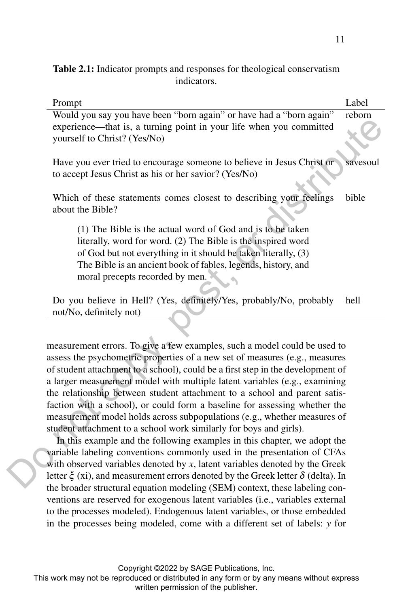Table 2.1: Indicator prompts and responses for theological conservatism indicators.

| Prompt                                                                                                                                                                                                                                                                                                                                                                                                                                                                                                                                                                                                                                                                                                                                                                                                                                                                                                                                                                                                                                                                                                                                                                                                                                                                                                    | Label    |
|-----------------------------------------------------------------------------------------------------------------------------------------------------------------------------------------------------------------------------------------------------------------------------------------------------------------------------------------------------------------------------------------------------------------------------------------------------------------------------------------------------------------------------------------------------------------------------------------------------------------------------------------------------------------------------------------------------------------------------------------------------------------------------------------------------------------------------------------------------------------------------------------------------------------------------------------------------------------------------------------------------------------------------------------------------------------------------------------------------------------------------------------------------------------------------------------------------------------------------------------------------------------------------------------------------------|----------|
| Would you say you have been "born again" or have had a "born again"                                                                                                                                                                                                                                                                                                                                                                                                                                                                                                                                                                                                                                                                                                                                                                                                                                                                                                                                                                                                                                                                                                                                                                                                                                       | reborn   |
| experience—that is, a turning point in your life when you committed<br>yourself to Christ? (Yes/No)                                                                                                                                                                                                                                                                                                                                                                                                                                                                                                                                                                                                                                                                                                                                                                                                                                                                                                                                                                                                                                                                                                                                                                                                       |          |
| Have you ever tried to encourage someone to believe in Jesus Christ or<br>to accept Jesus Christ as his or her savior? (Yes/No)                                                                                                                                                                                                                                                                                                                                                                                                                                                                                                                                                                                                                                                                                                                                                                                                                                                                                                                                                                                                                                                                                                                                                                           | savesoul |
| Which of these statements comes closest to describing your feelings<br>about the Bible?                                                                                                                                                                                                                                                                                                                                                                                                                                                                                                                                                                                                                                                                                                                                                                                                                                                                                                                                                                                                                                                                                                                                                                                                                   | bible    |
| (1) The Bible is the actual word of God and is to be taken<br>literally, word for word. (2) The Bible is the inspired word<br>of God but not everything in it should be taken literally, (3)<br>The Bible is an ancient book of fables, legends, history, and<br>moral precepts recorded by men.                                                                                                                                                                                                                                                                                                                                                                                                                                                                                                                                                                                                                                                                                                                                                                                                                                                                                                                                                                                                          |          |
| Do you believe in Hell? (Yes, definitely/Yes, probably/No, probably<br>not/No, definitely not)                                                                                                                                                                                                                                                                                                                                                                                                                                                                                                                                                                                                                                                                                                                                                                                                                                                                                                                                                                                                                                                                                                                                                                                                            | hell     |
|                                                                                                                                                                                                                                                                                                                                                                                                                                                                                                                                                                                                                                                                                                                                                                                                                                                                                                                                                                                                                                                                                                                                                                                                                                                                                                           |          |
| measurement errors. To give a few examples, such a model could be used to<br>assess the psychometric properties of a new set of measures (e.g., measures<br>of student attachment to a school), could be a first step in the development of<br>a larger measurement model with multiple latent variables (e.g., examining<br>the relationship between student attachment to a school and parent satis-<br>faction with a school), or could form a baseline for assessing whether the<br>measurement model holds across subpopulations (e.g., whether measures of<br>student attachment to a school work similarly for boys and girls).<br>In this example and the following examples in this chapter, we adopt the<br>variable labeling conventions commonly used in the presentation of CFAs<br>with observed variables denoted by $x$ , latent variables denoted by the Greek<br>letter $\xi$ (xi), and measurement errors denoted by the Greek letter $\delta$ (delta). In<br>the broader structural equation modeling (SEM) context, these labeling con-<br>ventions are reserved for exogenous latent variables (i.e., variables external<br>to the processes modeled). Endogenous latent variables, or those embedded<br>in the processes being modeled, come with a different set of labels: y for |          |
| Copyright ©2022 by SAGE Publications, Inc.<br>This work may not be reproduced or distributed in any form or by any means without express<br>written permission of the publisher.                                                                                                                                                                                                                                                                                                                                                                                                                                                                                                                                                                                                                                                                                                                                                                                                                                                                                                                                                                                                                                                                                                                          |          |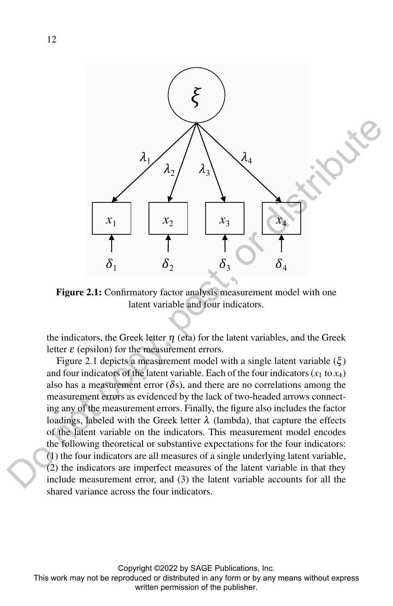

Figure 2.1: Confirmatory factor analysis measurement model with one latent variable and four indicators.

the indicators, the Greek letter  $\eta$  (eta) for the latent variables, and the Greek letter  $\varepsilon$  (epsilon) for the measurement errors.

Figure 2.1 depicts a measurement model with a single latent variable  $(\xi)$ and four indicators of the latent variable. Each of the four indicators  $(x_1 \text{ to } x_4)$ also has a measurement error  $(\delta s)$ , and there are no correlations among the measurement errors as evidenced by the lack of two-headed arrows connecting any of the measurement errors. Finally, the figure also includes the factor loadings, labeled with the Greek letter  $\lambda$  (lambda), that capture the effects of the latent variable on the indicators. This measurement model encodes the following theoretical or substantive expectations for the four indicators: (1) the four indicators are all measures of a single underlying latent variable, (2) the indicators are imperfect measures of the latent variable in that they include measurement error, and (3) the latent variable accounts for all the shared variance across the four indicators.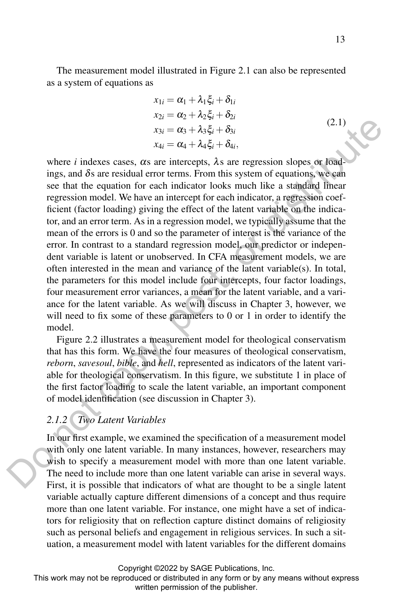The measurement model illustrated in Figure 2.1 can also be represented as a system of equations as

$$
x_{1i} = \alpha_1 + \lambda_1 \xi_i + \delta_{1i}
$$
  
\n
$$
x_{2i} = \alpha_2 + \lambda_2 \xi_i + \delta_{2i}
$$
  
\n
$$
x_{3i} = \alpha_3 + \lambda_3 \xi_i + \delta_{3i}
$$
  
\n
$$
x_{4i} = \alpha_4 + \lambda_4 \xi_i + \delta_{4i},
$$
\n(2.1)

where *i* indexes cases,  $\alpha$ s are intercepts,  $\lambda$ s are regression slopes or loadings, and  $\delta s$  are residual error terms. From this system of equations, we can see that the equation for each indicator looks much like a standard linear regression model. We have an intercept for each indicator, a regression coefficient (factor loading) giving the effect of the latent variable on the indicator, and an error term. As in a regression model, we typically assume that the mean of the errors is 0 and so the parameter of interest is the variance of the error. In contrast to a standard regression model, our predictor or independent variable is latent or unobserved. In CFA measurement models, we are often interested in the mean and variance of the latent variable(s). In total, the parameters for this model include four intercepts, four factor loadings, four measurement error variances, a mean for the latent variable, and a variance for the latent variable. As we will discuss in Chapter 3, however, we will need to fix some of these parameters to 0 or 1 in order to identify the model.  $x_{10} = \alpha_3 + \lambda_4 \xi_0 + \delta_0$ <br>  $x_{10} = \alpha_5 + \lambda_4 \xi_0 + \delta_0$ <br>  $x_{11} = \alpha_5 + \lambda_6 \xi_1 + \delta_0$ <br>
where *i* indexes cases, as are interecepts,  $\lambda_5$  are regression alongs or Ködd<br>
ings, and  $\delta_5$  are residual error terms. From this s

Figure 2.2 illustrates a measurement model for theological conservatism that has this form. We have the four measures of theological conservatism, *reborn*, *savesoul*, *bible*, and *hell*, represented as indicators of the latent variable for theological conservatism. In this figure, we substitute 1 in place of the first factor loading to scale the latent variable, an important component of model identification (see discussion in Chapter 3).

# *2.1.2 Two Latent Variables*

In our first example, we examined the specification of a measurement model with only one latent variable. In many instances, however, researchers may wish to specify a measurement model with more than one latent variable. The need to include more than one latent variable can arise in several ways. First, it is possible that indicators of what are thought to be a single latent variable actually capture different dimensions of a concept and thus require more than one latent variable. For instance, one might have a set of indicators for religiosity that on reflection capture distinct domains of religiosity such as personal beliefs and engagement in religious services. In such a situation, a measurement model with latent variables for the different domains

Copyright ©2022 by SAGE Publications, Inc.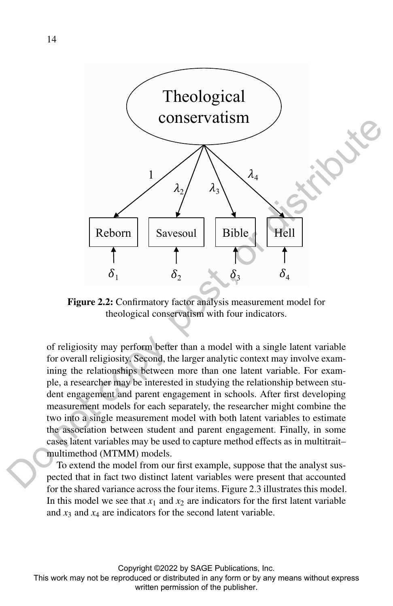

Figure 2.2: Confirmatory factor analysis measurement model for theological conservatism with four indicators.

of religiosity may perform better than a model with a single latent variable for overall religiosity. Second, the larger analytic context may involve examining the relationships between more than one latent variable. For example, a researcher may be interested in studying the relationship between student engagement and parent engagement in schools. After first developing measurement models for each separately, the researcher might combine the two into a single measurement model with both latent variables to estimate the association between student and parent engagement. Finally, in some cases latent variables may be used to capture method effects as in multitrait– multimethod (MTMM) models.

To extend the model from our first example, suppose that the analyst suspected that in fact two distinct latent variables were present that accounted for the shared variance across the four items. Figure 2.3 illustrates this model. In this model we see that  $x_1$  and  $x_2$  are indicators for the first latent variable and  $x_3$  and  $x_4$  are indicators for the second latent variable.

Copyright ©2022 by SAGE Publications, Inc.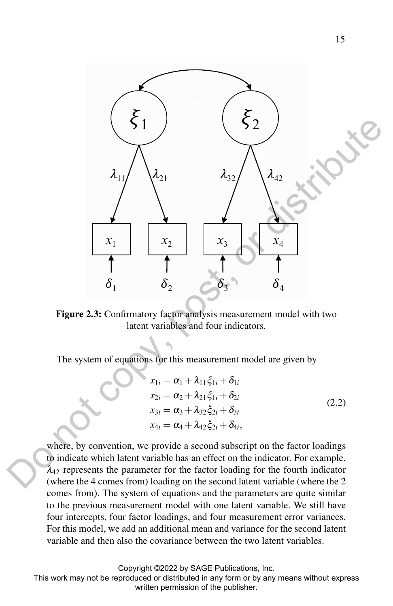

Figure 2.3: Confirmatory factor analysis measurement model with two latent variables and four indicators.

The system of equations for this measurement model are given by

$$
x_{1i} = \alpha_1 + \lambda_{11}\xi_{1i} + \delta_{1i}
$$
  
\n
$$
x_{2i} = \alpha_2 + \lambda_{21}\xi_{1i} + \delta_{2i}
$$
  
\n
$$
x_{3i} = \alpha_3 + \lambda_{32}\xi_{2i} + \delta_{3i}
$$
  
\n
$$
x_{4i} = \alpha_4 + \lambda_{42}\xi_{2i} + \delta_{4i},
$$
\n(2.2)

where, by convention, we provide a second subscript on the factor loadings to indicate which latent variable has an effect on the indicator. For example,  $\lambda_{42}$  represents the parameter for the factor loading for the fourth indicator (where the 4 comes from) loading on the second latent variable (where the 2 comes from). The system of equations and the parameters are quite similar to the previous measurement model with one latent variable. We still have four intercepts, four factor loadings, and four measurement error variances. For this model, we add an additional mean and variance for the second latent variable and then also the covariance between the two latent variables.

Copyright ©2022 by SAGE Publications, Inc.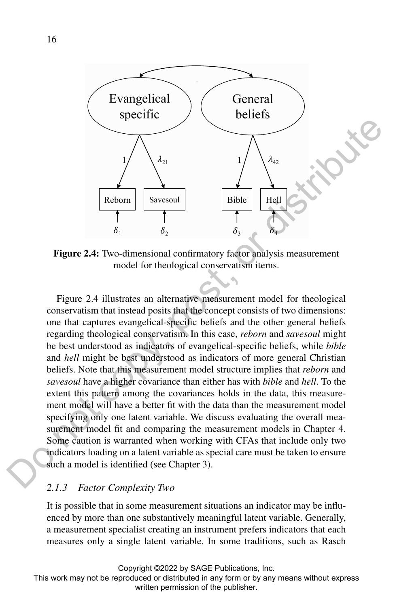

Figure 2.4: Two-dimensional confirmatory factor analysis measurement model for theological conservatism items.

Figure 2.4 illustrates an alternative measurement model for theological conservatism that instead posits that the concept consists of two dimensions: one that captures evangelical-specific beliefs and the other general beliefs regarding theological conservatism. In this case, *reborn* and *savesoul* might be best understood as indicators of evangelical-specific beliefs, while *bible* and *hell* might be best understood as indicators of more general Christian beliefs. Note that this measurement model structure implies that *reborn* and *savesoul* have a higher covariance than either has with *bible* and *hell*. To the extent this pattern among the covariances holds in the data, this measurement model will have a better fit with the data than the measurement model specifying only one latent variable. We discuss evaluating the overall measurement model fit and comparing the measurement models in Chapter 4. Some caution is warranted when working with CFAs that include only two indicators loading on a latent variable as special care must be taken to ensure such a model is identified (see Chapter 3). **Example 19**<br> **Example 19**<br> **Example 19**<br> **Example 2.4:** Theorem and confirmatory factors in the symphony is a sequence of the publisher and the model for the<br> **Experimental confirmation** of the publisher and the publishe

### *2.1.3 Factor Complexity Two*

It is possible that in some measurement situations an indicator may be influenced by more than one substantively meaningful latent variable. Generally, a measurement specialist creating an instrument prefers indicators that each measures only a single latent variable. In some traditions, such as Rasch

Copyright ©2022 by SAGE Publications, Inc.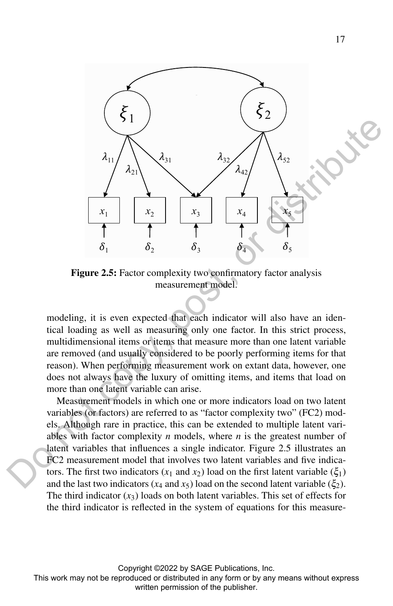

Figure 2.5: Factor complexity two confirmatory factor analysis measurement model.

modeling, it is even expected that each indicator will also have an identical loading as well as measuring only one factor. In this strict process, multidimensional items or items that measure more than one latent variable are removed (and usually considered to be poorly performing items for that reason). When performing measurement work on extant data, however, one does not always have the luxury of omitting items, and items that load on more than one latent variable can arise.

Measurement models in which one or more indicators load on two latent variables (or factors) are referred to as "factor complexity two" (FC2) models. Although rare in practice, this can be extended to multiple latent variables with factor complexity *n* models, where *n* is the greatest number of latent variables that influences a single indicator. Figure 2.5 illustrates an FC2 measurement model that involves two latent variables and five indicators. The first two indicators  $(x_1 \text{ and } x_2)$  load on the first latent variable  $(\xi_1)$ and the last two indicators ( $x_4$  and  $x_5$ ) load on the second latent variable ( $\xi_2$ ). The third indicator  $(x_3)$  loads on both latent variables. This set of effects for the third indicator is reflected in the system of equations for this measure-

Copyright ©2022 by SAGE Publications, Inc.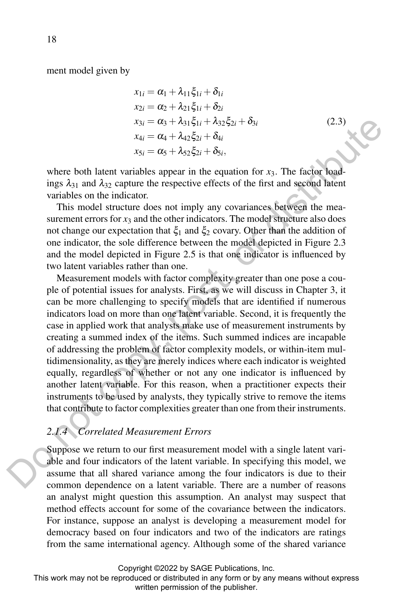ment model given by

$$
x_{1i} = \alpha_1 + \lambda_{11}\xi_{1i} + \delta_{1i}
$$
  
\n
$$
x_{2i} = \alpha_2 + \lambda_{21}\xi_{1i} + \delta_{2i}
$$
  
\n
$$
x_{3i} = \alpha_3 + \lambda_{31}\xi_{1i} + \lambda_{32}\xi_{2i} + \delta_{3i}
$$
  
\n
$$
x_{4i} = \alpha_4 + \lambda_{42}\xi_{2i} + \delta_{4i}
$$
  
\n
$$
x_{5i} = \alpha_5 + \lambda_{52}\xi_{2i} + \delta_{5i},
$$
  
\n(2.3)

where both latent variables appear in the equation for  $x_3$ . The factor loadings  $\lambda_{31}$  and  $\lambda_{32}$  capture the respective effects of the first and second latent variables on the indicator.

This model structure does not imply any covariances between the measurement errors for  $x_3$  and the other indicators. The model structure also does not change our expectation that  $ξ_1$  and  $ξ_2$  covary. Other than the addition of one indicator, the sole difference between the model depicted in Figure 2.3 and the model depicted in Figure 2.5 is that one indicator is influenced by two latent variables rather than one.

Measurement models with factor complexity greater than one pose a couple of potential issues for analysts. First, as we will discuss in Chapter 3, it can be more challenging to specify models that are identified if numerous indicators load on more than one latent variable. Second, it is frequently the case in applied work that analysts make use of measurement instruments by creating a summed index of the items. Such summed indices are incapable of addressing the problem of factor complexity models, or within-item multidimensionality, as they are merely indices where each indicator is weighted equally, regardless of whether or not any one indicator is influenced by another latent variable. For this reason, when a practitioner expects their instruments to be used by analysts, they typically strive to remove the items that contribute to factor complexities greater than one from their instruments.  $x_3 = a_2 + A_3t_2t_3 + A_3t_4$  (2.3)<br>
where both hatent variables appear in the equation for  $x_3$ . The factor bad<br>
where both hatent variables sapear in the equation for  $x_3$ . The factor bad<br>
ings  $\lambda_{31}$  and  $\lambda_{32}$  capt

# *2.1.4 Correlated Measurement Errors*

Suppose we return to our first measurement model with a single latent variable and four indicators of the latent variable. In specifying this model, we assume that all shared variance among the four indicators is due to their common dependence on a latent variable. There are a number of reasons an analyst might question this assumption. An analyst may suspect that method effects account for some of the covariance between the indicators. For instance, suppose an analyst is developing a measurement model for democracy based on four indicators and two of the indicators are ratings from the same international agency. Although some of the shared variance

Copyright ©2022 by SAGE Publications, Inc.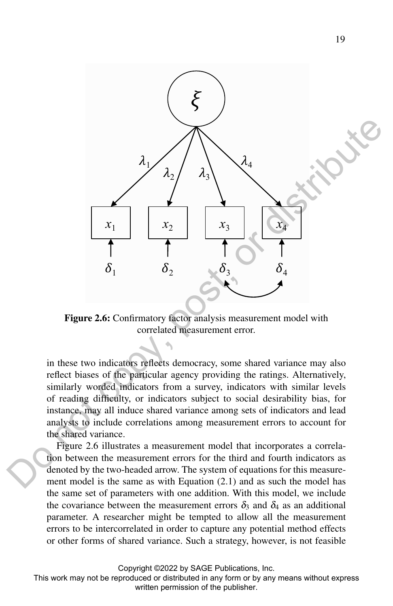

Figure 2.6: Confirmatory factor analysis measurement model with correlated measurement error.

in these two indicators reflects democracy, some shared variance may also reflect biases of the particular agency providing the ratings. Alternatively, similarly worded indicators from a survey, indicators with similar levels of reading difficulty, or indicators subject to social desirability bias, for instance, may all induce shared variance among sets of indicators and lead analysts to include correlations among measurement errors to account for the shared variance.

Figure 2.6 illustrates a measurement model that incorporates a correlation between the measurement errors for the third and fourth indicators as denoted by the two-headed arrow. The system of equations for this measurement model is the same as with Equation (2.1) and as such the model has the same set of parameters with one addition. With this model, we include the covariance between the measurement errors  $\delta_3$  and  $\delta_4$  as an additional parameter. A researcher might be tempted to allow all the measurement errors to be intercorrelated in order to capture any potential method effects or other forms of shared variance. Such a strategy, however, is not feasible

Copyright ©2022 by SAGE Publications, Inc.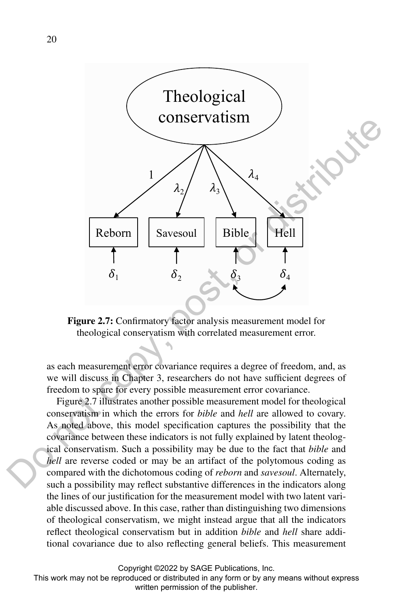

Figure 2.7: Confirmatory factor analysis measurement model for theological conservatism with correlated measurement error.

as each measurement error covariance requires a degree of freedom, and, as we will discuss in Chapter 3, researchers do not have sufficient degrees of freedom to spare for every possible measurement error covariance.

Figure 2.7 illustrates another possible measurement model for theological conservatism in which the errors for *bible* and *hell* are allowed to covary. As noted above, this model specification captures the possibility that the covariance between these indicators is not fully explained by latent theological conservatism. Such a possibility may be due to the fact that *bible* and *hell* are reverse coded or may be an artifact of the polytomous coding as compared with the dichotomous coding of *reborn* and *savesoul*. Alternately, such a possibility may reflect substantive differences in the indicators along the lines of our justification for the measurement model with two latent variable discussed above. In this case, rather than distinguishing two dimensions of theological conservatism, we might instead argue that all the indicators reflect theological conservatism but in addition *bible* and *hell* share additional covariance due to also reflecting general beliefs. This measurement

Copyright ©2022 by SAGE Publications, Inc.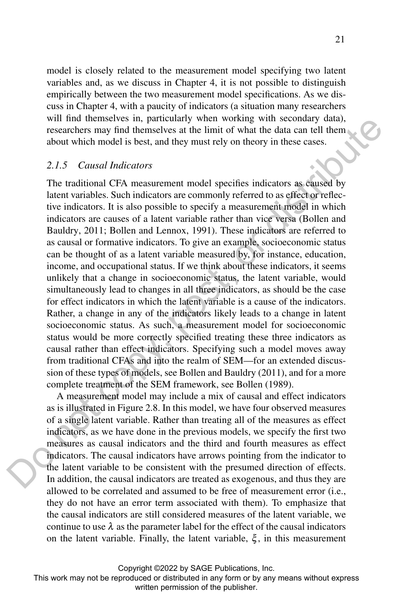model is closely related to the measurement model specifying two latent variables and, as we discuss in Chapter 4, it is not possible to distinguish empirically between the two measurement model specifications. As we discuss in Chapter 4, with a paucity of indicators (a situation many researchers will find themselves in, particularly when working with secondary data). researchers may find themselves at the limit of what the data can tell them about which model is best, and they must rely on theory in these cases.

#### *2.1.5 Causal Indicators*

The traditional CFA measurement model specifies indicators as caused by latent variables. Such indicators are commonly referred to as effect or reflective indicators. It is also possible to specify a measurement model in which indicators are causes of a latent variable rather than vice versa (Bollen and Bauldry, 2011; Bollen and Lennox, 1991). These indicators are referred to as causal or formative indicators. To give an example, socioeconomic status can be thought of as a latent variable measured by, for instance, education, income, and occupational status. If we think about these indicators, it seems unlikely that a change in socioeconomic status, the latent variable, would simultaneously lead to changes in all three indicators, as should be the case for effect indicators in which the latent variable is a cause of the indicators. Rather, a change in any of the indicators likely leads to a change in latent socioeconomic status. As such, a measurement model for socioeconomic status would be more correctly specified treating these three indicators as causal rather than effect indicators. Specifying such a model moves away from traditional CFAs and into the realm of SEM—for an extended discussion of these types of models, see Bollen and Bauldry (2011), and for a more complete treatment of the SEM framework, see Bollen (1989). written unceratively in punctually when working ware solonized to the pulsisher. The consideration of the publisher and the publisher. The transmission of the publisher. The transmission of the publisher and the publisher

A measurement model may include a mix of causal and effect indicators as is illustrated in Figure 2.8. In this model, we have four observed measures of a single latent variable. Rather than treating all of the measures as effect indicators, as we have done in the previous models, we specify the first two measures as causal indicators and the third and fourth measures as effect indicators. The causal indicators have arrows pointing from the indicator to the latent variable to be consistent with the presumed direction of effects. In addition, the causal indicators are treated as exogenous, and thus they are allowed to be correlated and assumed to be free of measurement error (i.e., they do not have an error term associated with them). To emphasize that the causal indicators are still considered measures of the latent variable, we continue to use  $\lambda$  as the parameter label for the effect of the causal indicators on the latent variable. Finally, the latent variable,  $\xi$ , in this measurement

Copyright ©2022 by SAGE Publications, Inc.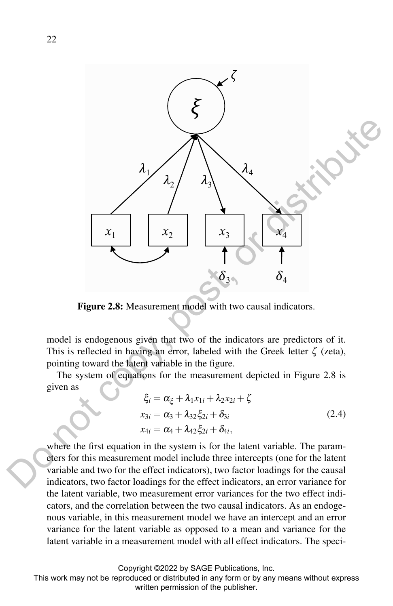

Figure 2.8: Measurement model with two causal indicators.

model is endogenous given that two of the indicators are predictors of it. This is reflected in having an error, labeled with the Greek letter  $\zeta$  (zeta), pointing toward the latent variable in the figure.

The system of equations for the measurement depicted in Figure 2.8 is given as

$$
\xi_i = \alpha_{\xi} + \lambda_1 x_{1i} + \lambda_2 x_{2i} + \zeta
$$
  
\n
$$
x_{3i} = \alpha_3 + \lambda_{32} \xi_{2i} + \delta_{3i}
$$
  
\n
$$
x_{4i} = \alpha_4 + \lambda_{42} \xi_{2i} + \delta_{4i},
$$
\n(2.4)

where the first equation in the system is for the latent variable. The parameters for this measurement model include three intercepts (one for the latent variable and two for the effect indicators), two factor loadings for the causal indicators, two factor loadings for the effect indicators, an error variance for the latent variable, two measurement error variances for the two effect indicators, and the correlation between the two causal indicators. As an endogenous variable, in this measurement model we have an intercept and an error variance for the latent variable as opposed to a mean and variance for the latent variable in a measurement model with all effect indicators. The speci-

Copyright ©2022 by SAGE Publications, Inc.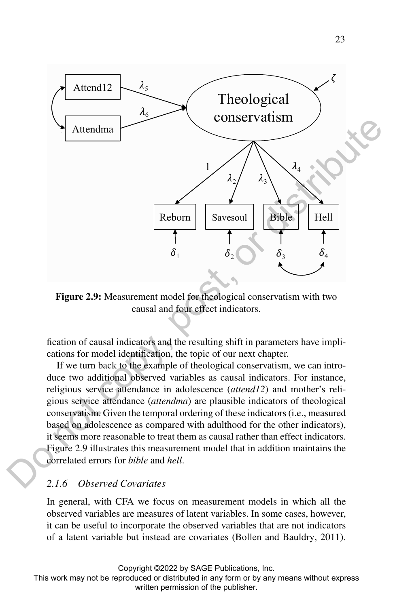

Figure 2.9: Measurement model for theological conservatism with two causal and four effect indicators.

fication of causal indicators and the resulting shift in parameters have implications for model identification, the topic of our next chapter.

If we turn back to the example of theological conservatism, we can introduce two additional observed variables as causal indicators. For instance, religious service attendance in adolescence (*attend12*) and mother's religious service attendance (*attendma*) are plausible indicators of theological conservatism. Given the temporal ordering of these indicators (i.e., measured based on adolescence as compared with adulthood for the other indicators), it seems more reasonable to treat them as causal rather than effect indicators. Figure 2.9 illustrates this measurement model that in addition maintains the correlated errors for *bible* and *hell*.

# *2.1.6 Observed Covariates*

In general, with CFA we focus on measurement models in which all the observed variables are measures of latent variables. In some cases, however, it can be useful to incorporate the observed variables that are not indicators of a latent variable but instead are covariates (Bollen and Bauldry, 2011).

Copyright ©2022 by SAGE Publications, Inc.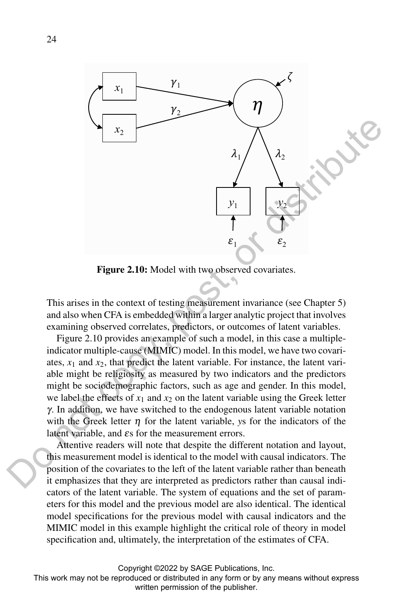

Figure 2.10: Model with two observed covariates.

This arises in the context of testing measurement invariance (see Chapter 5) and also when CFA is embedded within a larger analytic project that involves examining observed correlates, predictors, or outcomes of latent variables.

Figure 2.10 provides an example of such a model, in this case a multipleindicator multiple-cause (MIMIC) model. In this model, we have two covariates,  $x_1$  and  $x_2$ , that predict the latent variable. For instance, the latent variable might be religiosity as measured by two indicators and the predictors might be sociodemographic factors, such as age and gender. In this model, we label the effects of  $x_1$  and  $x_2$  on the latent variable using the Greek letter γ. In addition, we have switched to the endogenous latent variable notation with the Greek letter  $\eta$  for the latent variable, *ys* for the indicators of the latent variable, and <sup>ε</sup>s for the measurement errors.

Attentive readers will note that despite the different notation and layout, this measurement model is identical to the model with causal indicators. The position of the covariates to the left of the latent variable rather than beneath it emphasizes that they are interpreted as predictors rather than causal indicators of the latent variable. The system of equations and the set of parameters for this model and the previous model are also identical. The identical model specifications for the previous model with causal indicators and the MIMIC model in this example highlight the critical role of theory in model specification and, ultimately, the interpretation of the estimates of CFA.

Copyright ©2022 by SAGE Publications, Inc.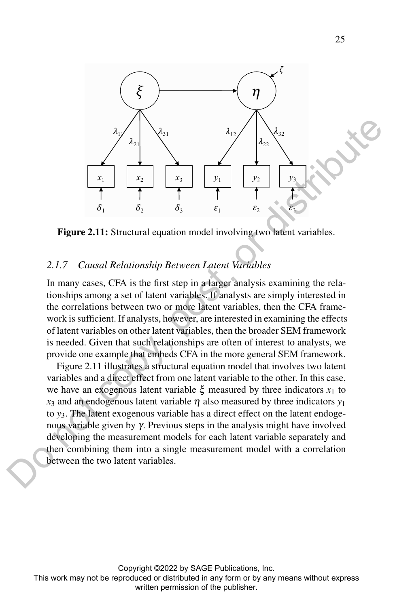

Figure 2.11: Structural equation model involving two latent variables.

### *2.1.7 Causal Relationship Between Latent Variables*

In many cases, CFA is the first step in a larger analysis examining the relationships among a set of latent variables. If analysts are simply interested in the correlations between two or more latent variables, then the CFA framework is sufficient. If analysts, however, are interested in examining the effects of latent variables on other latent variables, then the broader SEM framework is needed. Given that such relationships are often of interest to analysts, we provide one example that embeds CFA in the more general SEM framework.

Figure 2.11 illustrates a structural equation model that involves two latent variables and a direct effect from one latent variable to the other. In this case, we have an exogenous latent variable  $\xi$  measured by three indicators  $x_1$  to  $x_3$  and an endogenous latent variable  $\eta$  also measured by three indicators  $y_1$ to *y*3. The latent exogenous variable has a direct effect on the latent endogenous variable given by γ. Previous steps in the analysis might have involved developing the measurement models for each latent variable separately and then combining them into a single measurement model with a correlation between the two latent variables.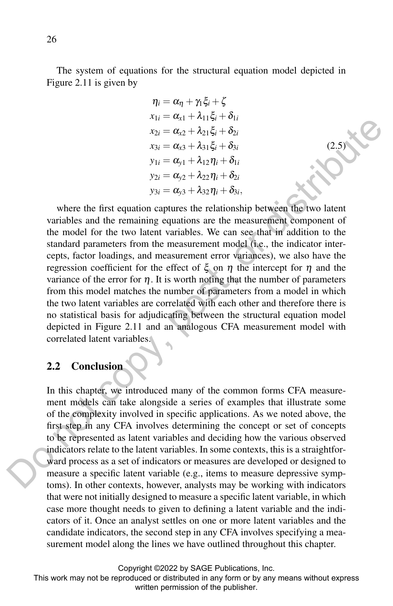The system of equations for the structural equation model depicted in Figure 2.11 is given by

$$
\eta_i = \alpha_{\eta} + \gamma_1 \xi_i + \zeta
$$
  
\n
$$
x_{1i} = \alpha_{x1} + \lambda_{11} \xi_i + \delta_{1i}
$$
  
\n
$$
x_{2i} = \alpha_{x2} + \lambda_{21} \xi_i + \delta_{2i}
$$
  
\n
$$
x_{3i} = \alpha_{x3} + \lambda_{31} \xi_i + \delta_{3i}
$$
  
\n
$$
y_{1i} = \alpha_{y1} + \lambda_{12} \eta_i + \delta_{1i}
$$
  
\n
$$
y_{2i} = \alpha_{y2} + \lambda_{22} \eta_i + \delta_{2i}
$$
  
\n
$$
y_{3i} = \alpha_{y3} + \lambda_{32} \eta_i + \delta_{3i},
$$

(2.5)

where the first equation captures the relationship between the two latent variables and the remaining equations are the measurement component of the model for the two latent variables. We can see that in addition to the standard parameters from the measurement model (i.e., the indicator intercepts, factor loadings, and measurement error variances), we also have the regression coefficient for the effect of  $\xi$  on  $\eta$  the intercept for  $\eta$  and the variance of the error for  $\eta$ . It is worth noting that the number of parameters from this model matches the number of parameters from a model in which the two latent variables are correlated with each other and therefore there is no statistical basis for adjudicating between the structural equation model depicted in Figure 2.11 and an analogous CFA measurement model with correlated latent variables.

### 2.2 Conclusion

In this chapter, we introduced many of the common forms CFA measurement models can take alongside a series of examples that illustrate some of the complexity involved in specific applications. As we noted above, the first step in any CFA involves determining the concept or set of concepts to be represented as latent variables and deciding how the various observed indicators relate to the latent variables. In some contexts, this is a straightforward process as a set of indicators or measures are developed or designed to measure a specific latent variable (e.g., items to measure depressive symptoms). In other contexts, however, analysts may be working with indicators that were not initially designed to measure a specific latent variable, in which case more thought needs to given to defining a latent variable and the indicators of it. Once an analyst settles on one or more latent variables and the candidate indicators, the second step in any CFA involves specifying a measurement model along the lines we have outlined throughout this chapter.  $x_2 = a_2 + \lambda_{21} \xi_2 + \delta_1$ <br>  $x_3 = a_2 + \lambda_{31} \xi_2 + \delta_2$ <br>  $x_3 = a_3 + \lambda_{12} \eta_1 + \delta_1$ <br>  $y_2 = a_3 + \lambda_{22} \eta_1 + \delta_2$ <br>  $y_3 = a_3 + \lambda_{22} \eta_1 + \delta_3$ ,<br>  $y_4 = a_2 + \lambda_{22} \eta_2 + \delta_2$ <br>
where the first equation captures the relationship between

Copyright ©2022 by SAGE Publications, Inc.